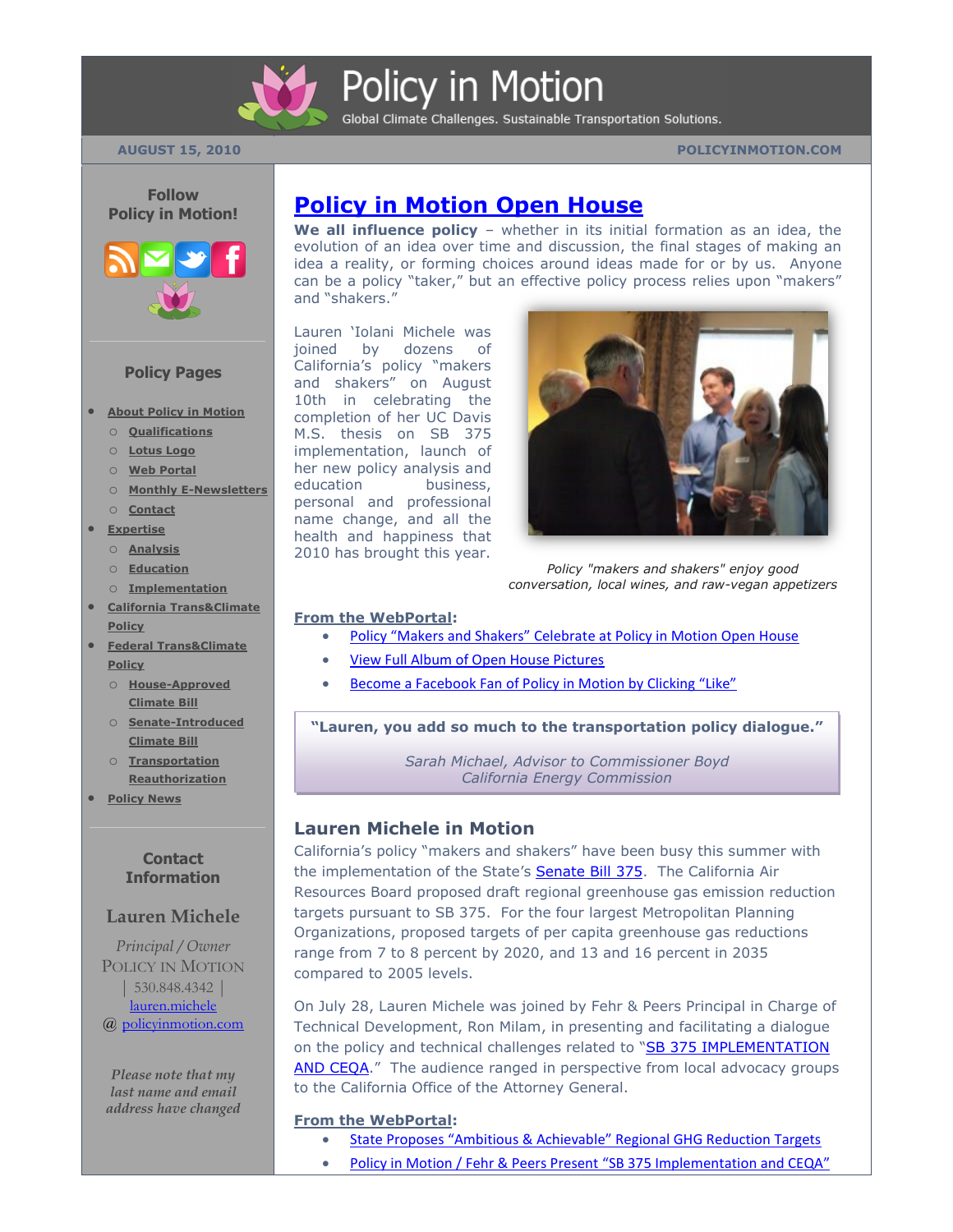

# Policy in Motion

Global Climate Challenges. Sustainable Transportation Solutions.

#### **AUGUST 15, 2010 POLICYINMOTION.COM**



#### **Policy Pages**

- **[About Policy in Motion](http://policyinmotion.com/)**
	- o **[Qualifications](http://policyinmotion.com/about-policy-in-motion/services-and-qualifications/)**
	- o **[Lotus Logo](http://policyinmotion.com/about-policy-in-motion/logo/)**
	- o **[Web Portal](http://policyinmotion.com/about-policy-in-motion/web-portal/)**
	- o **[Monthly E-Newsletters](http://policyinmotion.com/about-policy-in-motion/monthly-e-newsletters/)**
- o **[Contact](http://policyinmotion.com/about-policy-in-motion/contact/)**
- **[Expertise](http://policyinmotion.com/expertise/)**
	- o **[Analysis](http://policyinmotion.com/expertise/policy-analysis/)**
	- o **[Education](http://policyinmotion.com/expertise/policy-education/)**
- o **[Implementation](http://policyinmotion.com/expertise/policy-implementation/) [California Trans&Climate](http://policyinmotion.com/transclimate-policy/)**
- **[Policy](http://policyinmotion.com/transclimate-policy/)**
- **[Federal Trans&Climate](http://policyinmotion.com/federal-transclimate-policy/)  [Policy](http://policyinmotion.com/federal-transclimate-policy/)**
	- o **[House-Approved](http://policyinmotion.com/federal-transclimate-policy/house-approved-climateenergy-bill-waxman-markey/)  [Climate Bill](http://policyinmotion.com/federal-transclimate-policy/house-approved-climateenergy-bill-waxman-markey/)**
	- o **[Senate-Introduced](http://policyinmotion.com/federal-transclimate-policy/senate-introduced-climateenergy-bill-kerryboxer-lieberman/)  [Climate Bill](http://policyinmotion.com/federal-transclimate-policy/senate-introduced-climateenergy-bill-kerryboxer-lieberman/)**
	- o **[Transportation](http://policyinmotion.com/federal-transclimate-policy/surface-transportation-reauthorization-act-of-2009-oberstar/)  [Reauthorization](http://policyinmotion.com/federal-transclimate-policy/surface-transportation-reauthorization-act-of-2009-oberstar/)**
- **[Policy News](http://policyinmotion.com/policy-news-2/)**

#### **Contact Information**

#### **Lauren Michele**

*Principal / Owner* POLICY IN MOTION | 530.848.4342 [|](mailto:lauren.michele@policyinmotion.com) [lauren.michele](mailto:lauren.michele@policyinmotion.com) @ [policyinmotion.com](http://www.policyinmotion.com/)

*Please note that my last name and email address have changed*

## **[Policy in Motion Open House](http://policyinmotion.com/2010/08/policy-makers-and-shakers-celebrate-at-policy-in-motion-open-house/)**

**We all influence policy** – whether in its initial formation as an idea, the evolution of an idea over time and discussion, the final stages of making an idea a reality, or forming choices around ideas made for or by us. Anyone can be a policy "taker," but an effective policy process relies upon "makers" and "shakers."

Lauren 'Iolani Michele was joined by dozens of California's policy "makers and shakers" on August 10th in celebrating the completion of her UC Davis M.S. thesis on SB 375 implementation, launch of her new policy analysis and education business, personal and professional name change, and all the health and happiness that 2010 has brought this year.



*Policy "makers and shakers" enjoy good conversation, local wines, and raw-vegan appetizers*

#### **From the WebPortal:**

- [Policy "Makers and Shakers" Celebra](http://policyinmotion.com/2010/08/policy-makers-and-shakers-celebrate-at-policy-in-motion-open-house/)te at Policy in Motion Open House
	- [View Full Album of Open House Pictures](http://www.facebook.com/pages/Sacramento-CA/Policy-in-Motion-by-Lauren-Michele/127170127299311?ref=ts&__a=8#!/photo.php?pid=489629&id=127170127299311&ref=fbx_album)
- [Become a Facebook Fan of Policy in Motion by Clicking "Like"](http://www.facebook.com/pages/Sacramento-CA/Policy-in-Motion-by-Lauren-Michele/127170127299311?ref=ts&__a=8)

**"Lauren, you add so much to the transportation policy dialogue."**

*Sarah Michael, Advisor to Commissioner Boyd California Energy Commission*

#### **Lauren Michele in Motion**

California's policy "makers and shakers" have been busy this summer with the implementation of the State's **Senate Bill 375**. The California Air Resources Board proposed draft regional greenhouse gas emission reduction targets pursuant to SB 375. For the four largest Metropolitan Planning Organizations, proposed targets of per capita greenhouse gas reductions range from 7 to 8 percent by 2020, and 13 and 16 percent in 2035 compared to 2005 levels.

On July 28, Lauren Michele was joined by Fehr & Peers Principal in Charge of Technical Development, Ron Milam, in presenting and facilitating a dialogue on the policy and technical challenges related to "SB 375 IMPLEMENTATION [AND CEQA.](http://policyinmotion.com/2010/07/sb-375-implementation-and-ceqa-policy-in-motion-fehr-peers-presentation-on-wed-july-28th-in-sacramento/)" The audience ranged in perspective from local advocacy groups to the California Office of the Attorney General.

#### **From the WebPortal:**

- State Proposes "Ambitious & Achievable" [Regional GHG Reduction Targets](http://policyinmotion.com/2010/08/california-proposes-ambitious-achievable-sb-375-ghg-reduction-targets-for-regions/)
- [Policy in Motion / Fehr & Peers Present](http://policyinmotion.com/2010/07/sb-375-implementation-and-ceqa-policy-in-motion-fehr-peers-presentation-on-wed-july-28th-in-sacramento/) "SB 375 Implementation and CEQA"